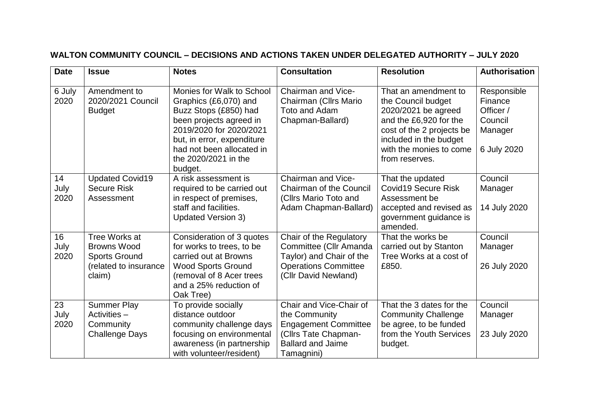## **WALTON COMMUNITY COUNCIL – DECISIONS AND ACTIONS TAKEN UNDER DELEGATED AUTHORITY – JULY 2020**

| <b>Date</b>        | <b>Issue</b>                                                                                   | <b>Notes</b>                                                                                                                                                                                                                    | <b>Consultation</b>                                                                                                                       | <b>Resolution</b>                                                                                                                                                                               | <b>Authorisation</b>                                                     |
|--------------------|------------------------------------------------------------------------------------------------|---------------------------------------------------------------------------------------------------------------------------------------------------------------------------------------------------------------------------------|-------------------------------------------------------------------------------------------------------------------------------------------|-------------------------------------------------------------------------------------------------------------------------------------------------------------------------------------------------|--------------------------------------------------------------------------|
| 6 July<br>2020     | Amendment to<br>2020/2021 Council<br><b>Budget</b>                                             | Monies for Walk to School<br>Graphics (£6,070) and<br>Buzz Stops (£850) had<br>been projects agreed in<br>2019/2020 for 2020/2021<br>but, in error, expenditure<br>had not been allocated in<br>the 2020/2021 in the<br>budget. | Chairman and Vice-<br>Chairman (Cllrs Mario<br>Toto and Adam<br>Chapman-Ballard)                                                          | That an amendment to<br>the Council budget<br>2020/2021 be agreed<br>and the £6,920 for the<br>cost of the 2 projects be<br>included in the budget<br>with the monies to come<br>from reserves. | Responsible<br>Finance<br>Officer /<br>Council<br>Manager<br>6 July 2020 |
| 14<br>July<br>2020 | <b>Updated Covid19</b><br><b>Secure Risk</b><br>Assessment                                     | A risk assessment is<br>required to be carried out<br>in respect of premises,<br>staff and facilities.<br><b>Updated Version 3)</b>                                                                                             | Chairman and Vice-<br><b>Chairman of the Council</b><br>(Cllrs Mario Toto and<br>Adam Chapman-Ballard)                                    | That the updated<br><b>Covid19 Secure Risk</b><br>Assessment be<br>accepted and revised as<br>government guidance is<br>amended.                                                                | Council<br>Manager<br>14 July 2020                                       |
| 16<br>July<br>2020 | Tree Works at<br><b>Browns Wood</b><br><b>Sports Ground</b><br>(related to insurance<br>claim) | Consideration of 3 quotes<br>for works to trees, to be<br>carried out at Browns<br><b>Wood Sports Ground</b><br>(removal of 8 Acer trees<br>and a 25% reduction of<br>Oak Tree)                                                 | Chair of the Regulatory<br>Committee (Cllr Amanda<br>Taylor) and Chair of the<br><b>Operations Committee</b><br>(Cllr David Newland)      | That the works be<br>carried out by Stanton<br>Tree Works at a cost of<br>£850.                                                                                                                 | Council<br>Manager<br>26 July 2020                                       |
| 23<br>July<br>2020 | <b>Summer Play</b><br>Activities -<br>Community<br><b>Challenge Days</b>                       | To provide socially<br>distance outdoor<br>community challenge days<br>focusing on environmental<br>awareness (in partnership<br>with volunteer/resident)                                                                       | Chair and Vice-Chair of<br>the Community<br><b>Engagement Committee</b><br>(Cllrs Tate Chapman-<br><b>Ballard and Jaime</b><br>Tamagnini) | That the 3 dates for the<br><b>Community Challenge</b><br>be agree, to be funded<br>from the Youth Services<br>budget.                                                                          | Council<br>Manager<br>23 July 2020                                       |